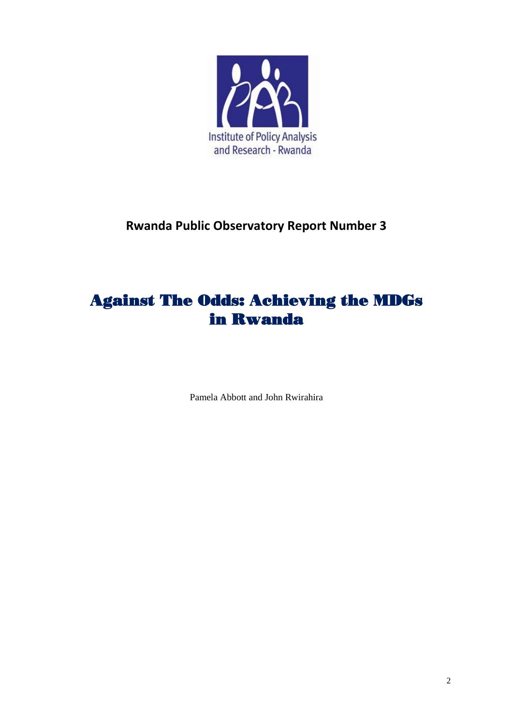

# **Rwanda Public Observatory Report Number 3**

# Against The Odds: Achieving the MDGs in Rwanda

Pamela Abbott and John Rwirahira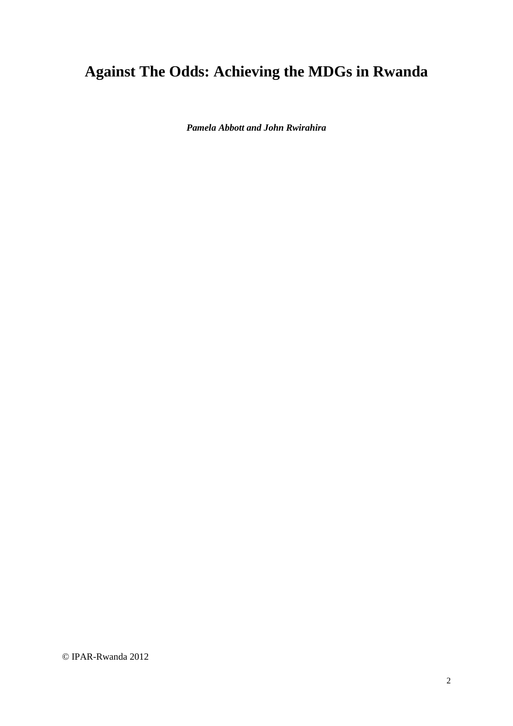# **Against The Odds: Achieving the MDGs in Rwanda**

*Pamela Abbott and John Rwirahira*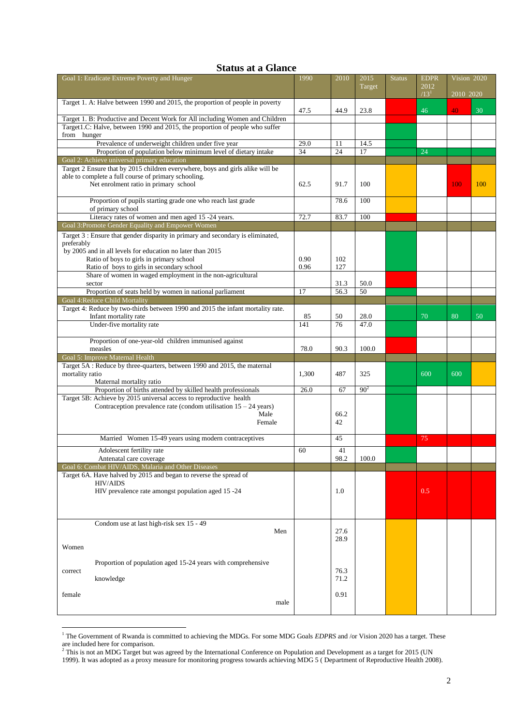## **Status at a Glance**

| Goal 1: Eradicate Extreme Poverty and Hunger                                    | 1990  | 2010 | 2015     | <b>Status</b> | <b>EDPR</b>              | Vision 2020<br>2010 2020 |     |
|---------------------------------------------------------------------------------|-------|------|----------|---------------|--------------------------|--------------------------|-----|
|                                                                                 |       |      | Target   |               | 2012<br>/13 <sup>1</sup> |                          |     |
| Target 1. A: Halve between 1990 and 2015, the proportion of people in poverty   | 47.5  | 44.9 | 23.8     |               | 46                       | 40                       | 30  |
| Target 1. B: Productive and Decent Work for All including Women and Children    |       |      |          |               |                          |                          |     |
| Target1.C: Halve, between 1990 and 2015, the proportion of people who suffer    |       |      |          |               |                          |                          |     |
| from hunger                                                                     |       |      |          |               |                          |                          |     |
| Prevalence of underweight children under five year                              | 29.0  | 11   | 14.5     |               |                          |                          |     |
| Proportion of population below minimum level of dietary intake                  | 34    | 24   | 17       |               | 24                       |                          |     |
| Goal 2: Achieve universal primary education                                     |       |      |          |               |                          |                          |     |
| Target 2 Ensure that by 2015 children everywhere, boys and girls alike will be  |       |      |          |               |                          |                          |     |
| able to complete a full course of primary schooling.                            |       |      |          |               |                          |                          |     |
| Net enrolment ratio in primary school                                           | 62.5  | 91.7 | 100      |               |                          | 100                      | 100 |
|                                                                                 |       |      |          |               |                          |                          |     |
| Proportion of pupils starting grade one who reach last grade                    |       | 78.6 | 100      |               |                          |                          |     |
| of primary school                                                               |       |      |          |               |                          |                          |     |
| Literacy rates of women and men aged 15 -24 years.                              | 72.7  | 83.7 | 100      |               |                          |                          |     |
| Goal 3:Promote Gender Equality and Empower Women                                |       |      |          |               |                          |                          |     |
| Target 3 : Ensure that gender disparity in primary and secondary is eliminated, |       |      |          |               |                          |                          |     |
| preferably                                                                      |       |      |          |               |                          |                          |     |
| by 2005 and in all levels for education no later than 2015                      |       |      |          |               |                          |                          |     |
| Ratio of boys to girls in primary school                                        | 0.90  | 102  |          |               |                          |                          |     |
| Ratio of boys to girls in secondary school                                      | 0.96  | 127  |          |               |                          |                          |     |
| Share of women in waged employment in the non-agricultural                      |       |      |          |               |                          |                          |     |
| sector                                                                          |       | 31.3 | 50.0     |               |                          |                          |     |
| Proportion of seats held by women in national parliament                        | 17    | 56.3 | 50       |               |                          |                          |     |
| Goal 4: Reduce Child Mortality                                                  |       |      |          |               |                          |                          |     |
| Target 4: Reduce by two-thirds between 1990 and 2015 the infant mortality rate. |       |      |          |               |                          |                          |     |
| Infant mortality rate                                                           | 85    | 50   | 28.0     |               | 70                       | 80                       | 50  |
| Under-five mortality rate                                                       | 141   | 76   | 47.0     |               |                          |                          |     |
|                                                                                 |       |      |          |               |                          |                          |     |
| Proportion of one-year-old children immunised against                           |       |      |          |               |                          |                          |     |
| measles                                                                         | 78.0  | 90.3 | 100.0    |               |                          |                          |     |
| Goal 5: Improve Maternal Health                                                 |       |      |          |               |                          |                          |     |
| Target 5A: Reduce by three-quarters, between 1990 and 2015, the maternal        |       |      |          |               |                          |                          |     |
| mortality ratio                                                                 | 1,300 | 487  | 325      |               | 600                      | 600                      |     |
| Maternal mortality ratio                                                        |       |      |          |               |                          |                          |     |
| Proportion of births attended by skilled health professionals                   | 26.0  | 67   | $90^{2}$ |               |                          |                          |     |
| Target 5B: Achieve by 2015 universal access to reproductive health              |       |      |          |               |                          |                          |     |
| Contraception prevalence rate (condom utilisation $15 - 24$ years)              |       |      |          |               |                          |                          |     |
| Male                                                                            |       | 66.2 |          |               |                          |                          |     |
| Female                                                                          |       | 42   |          |               |                          |                          |     |
|                                                                                 |       |      |          |               |                          |                          |     |
| Married Women 15-49 years using modern contraceptives                           |       | 45   |          |               | 75                       |                          |     |
|                                                                                 |       |      |          |               |                          |                          |     |
| Adolescent fertility rate                                                       | 60    | 41   |          |               |                          |                          |     |
| Antenatal care coverage<br>Goal 6: Combat HIV/AIDS, Malaria and Other Diseases  |       | 98.2 | 100.0    |               |                          |                          |     |
| Target 6A. Have halved by 2015 and began to reverse the spread of               |       |      |          |               |                          |                          |     |
| <b>HIV/AIDS</b>                                                                 |       |      |          |               |                          |                          |     |
| HIV prevalence rate amongst population aged 15 -24                              |       | 1.0  |          |               | 0.5                      |                          |     |
|                                                                                 |       |      |          |               |                          |                          |     |
|                                                                                 |       |      |          |               |                          |                          |     |
|                                                                                 |       |      |          |               |                          |                          |     |
| Condom use at last high-risk sex 15 - 49                                        |       |      |          |               |                          |                          |     |
| Men                                                                             |       | 27.6 |          |               |                          |                          |     |
|                                                                                 |       | 28.9 |          |               |                          |                          |     |
| Women                                                                           |       |      |          |               |                          |                          |     |
|                                                                                 |       |      |          |               |                          |                          |     |
| Proportion of population aged 15-24 years with comprehensive                    |       |      |          |               |                          |                          |     |
| correct                                                                         |       | 76.3 |          |               |                          |                          |     |
| knowledge                                                                       |       | 71.2 |          |               |                          |                          |     |
|                                                                                 |       |      |          |               |                          |                          |     |
| female                                                                          |       | 0.91 |          |               |                          |                          |     |
| male                                                                            |       |      |          |               |                          |                          |     |
|                                                                                 |       |      |          |               |                          |                          |     |

<sup>1</sup> The Government of Rwanda is committed to achieving the MDGs. For some MDG Goals *EDPRS* and /or Vision 2020 has a target. These are included here for comparison.

1

 $2$ <sup>2</sup> This is not an MDG Target but was agreed by the International Conference on Population and Development as a target for 2015 (UN

<sup>1999).</sup> It was adopted as a proxy measure for monitoring progress towards achieving MDG 5 ( Department of Reproductive Health 2008).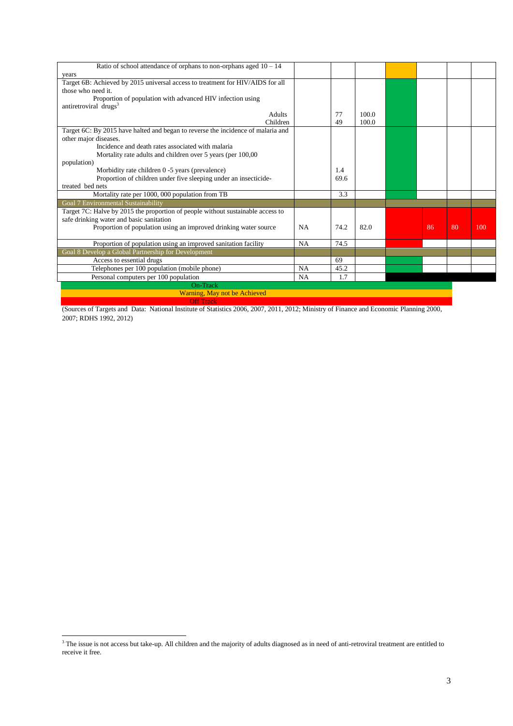| Ratio of school attendance of orphans to non-orphans aged $10 - 14$              |           |      |       |    |    |     |
|----------------------------------------------------------------------------------|-----------|------|-------|----|----|-----|
| years                                                                            |           |      |       |    |    |     |
| Target 6B: Achieved by 2015 universal access to treatment for HIV/AIDS for all   |           |      |       |    |    |     |
| those who need it.                                                               |           |      |       |    |    |     |
| Proportion of population with advanced HIV infection using                       |           |      |       |    |    |     |
| antiretroviral drugs <sup>3</sup>                                                |           |      |       |    |    |     |
| <b>Adults</b>                                                                    |           | 77   | 100.0 |    |    |     |
| Children                                                                         |           | 49   | 100.0 |    |    |     |
| Target 6C: By 2015 have halted and began to reverse the incidence of malaria and |           |      |       |    |    |     |
| other major diseases.                                                            |           |      |       |    |    |     |
| Incidence and death rates associated with malaria                                |           |      |       |    |    |     |
| Mortality rate adults and children over 5 years (per 100,00                      |           |      |       |    |    |     |
| population)                                                                      |           |      |       |    |    |     |
| Morbidity rate children 0 -5 years (prevalence)                                  |           | 1.4  |       |    |    |     |
| Proportion of children under five sleeping under an insecticide-                 |           | 69.6 |       |    |    |     |
| treated bed nets                                                                 |           |      |       |    |    |     |
| Mortality rate per 1000, 000 population from TB                                  |           | 3.3  |       |    |    |     |
| Goal 7 Environmental Sustainability                                              |           |      |       |    |    |     |
| Target 7C: Halve by 2015 the proportion of people without sustainable access to  |           |      |       |    |    |     |
| safe drinking water and basic sanitation                                         |           |      |       |    |    |     |
| Proportion of population using an improved drinking water source                 | <b>NA</b> | 74.2 | 82.0  | 86 | 80 | 100 |
|                                                                                  |           |      |       |    |    |     |
| Proportion of population using an improved sanitation facility                   | <b>NA</b> | 74.5 |       |    |    |     |
| Goal 8 Develop a Global Partnership for Development                              |           |      |       |    |    |     |
| Access to essential drugs                                                        |           | 69   |       |    |    |     |
| Telephones per 100 population (mobile phone)                                     | <b>NA</b> | 45.2 |       |    |    |     |
| Personal computers per 100 population                                            | NA        | 1.7  |       |    |    |     |
| On-Track                                                                         |           |      |       |    |    |     |
| Warning, May not be Achieved                                                     |           |      |       |    |    |     |
| <b>Off Track</b>                                                                 |           |      |       |    |    |     |

(Sources of Targets and Data: National Institute of Statistics 2006, 2007, 2011, 2012; Ministry of Finance and Economic Planning 2000, 2007; RDHS 1992, 2012)

-

 $3$  The issue is not access but take-up. All children and the majority of adults diagnosed as in need of anti-retroviral treatment are entitled to receive it free.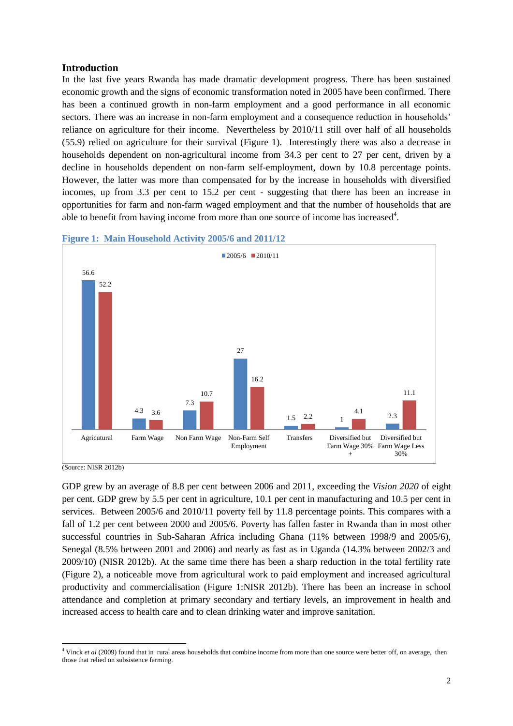# **Introduction**

In the last five years Rwanda has made dramatic development progress. There has been sustained economic growth and the signs of economic transformation noted in 2005 have been confirmed. There has been a continued growth in non-farm employment and a good performance in all economic sectors. There was an increase in non-farm employment and a consequence reduction in households' reliance on agriculture for their income. Nevertheless by 2010/11 still over half of all households (55.9) relied on agriculture for their survival (Figure 1). Interestingly there was also a decrease in households dependent on non-agricultural income from 34.3 per cent to 27 per cent, driven by a decline in households dependent on non-farm self-employment, down by 10.8 percentage points. However, the latter was more than compensated for by the increase in households with diversified incomes, up from 3.3 per cent to 15.2 per cent - suggesting that there has been an increase in opportunities for farm and non-farm waged employment and that the number of households that are able to benefit from having income from more than one source of income has increased<sup>4</sup>.





(Source: NISR 2012b)

1

GDP grew by an average of 8.8 per cent between 2006 and 2011, exceeding the *Vision 2020* of eight per cent. GDP grew by 5.5 per cent in agriculture, 10.1 per cent in manufacturing and 10.5 per cent in services. Between 2005/6 and 2010/11 poverty fell by 11.8 percentage points. This compares with a fall of 1.2 per cent between 2000 and 2005/6. Poverty has fallen faster in Rwanda than in most other successful countries in Sub-Saharan Africa including Ghana (11% between 1998/9 and 2005/6), Senegal (8.5% between 2001 and 2006) and nearly as fast as in Uganda (14.3% between 2002/3 and 2009/10) (NISR 2012b). At the same time there has been a sharp reduction in the total fertility rate (Figure 2), a noticeable move from agricultural work to paid employment and increased agricultural productivity and commercialisation (Figure 1:NISR 2012b). There has been an increase in school attendance and completion at primary secondary and tertiary levels, an improvement in health and increased access to health care and to clean drinking water and improve sanitation.

<sup>4</sup> Vinck *et al* (2009) found that in rural areas households that combine income from more than one source were better off, on average, then those that relied on subsistence farming.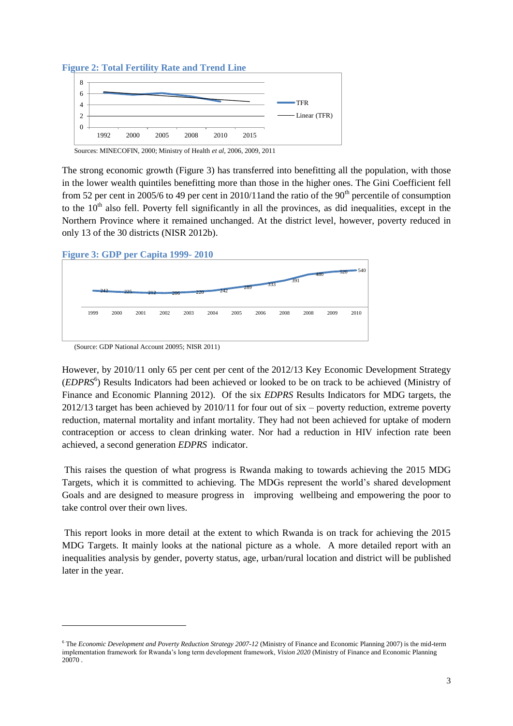



Sources: MINECOFIN, 2000; Ministry of Health *et al,* 2006, 2009, 2011

The strong economic growth (Figure 3) has transferred into benefitting all the population, with those in the lower wealth quintiles benefitting more than those in the higher ones. The Gini Coefficient fell from 52 per cent in 2005/6 to 49 per cent in 2010/11and the ratio of the  $90<sup>th</sup>$  percentile of consumption to the  $10<sup>th</sup>$  also fell. Poverty fell significantly in all the provinces, as did inequalities, except in the Northern Province where it remained unchanged. At the district level, however, poverty reduced in only 13 of the 30 districts (NISR 2012b).

**Figure 3: GDP per Capita 1999- 2010**



(Source: GDP National Account 20095; NISR 2011)

1

However, by 2010/11 only 65 per cent per cent of the 2012/13 Key Economic Development Strategy (*EDPRS*<sup>6</sup>) Results Indicators had been achieved or looked to be on track to be achieved (Ministry of Finance and Economic Planning 2012). Of the six *EDPRS* Results Indicators for MDG targets, the 2012/13 target has been achieved by 2010/11 for four out of six – poverty reduction, extreme poverty reduction, maternal mortality and infant mortality. They had not been achieved for uptake of modern contraception or access to clean drinking water. Nor had a reduction in HIV infection rate been achieved, a second generation *EDPRS* indicator.

This raises the question of what progress is Rwanda making to towards achieving the 2015 MDG Targets, which it is committed to achieving. The MDGs represent the world's shared development Goals and are designed to measure progress in improving wellbeing and empowering the poor to take control over their own lives.

This report looks in more detail at the extent to which Rwanda is on track for achieving the 2015 MDG Targets. It mainly looks at the national picture as a whole. A more detailed report with an inequalities analysis by gender, poverty status, age, urban/rural location and district will be published later in the year.

<sup>6</sup> The *Economic Development and Poverty Reduction Strategy 2007-12* (Ministry of Finance and Economic Planning 2007) is the mid-term implementation framework for Rwanda's long term development framework, *Vision 2020* (Ministry of Finance and Economic Planning 20070 .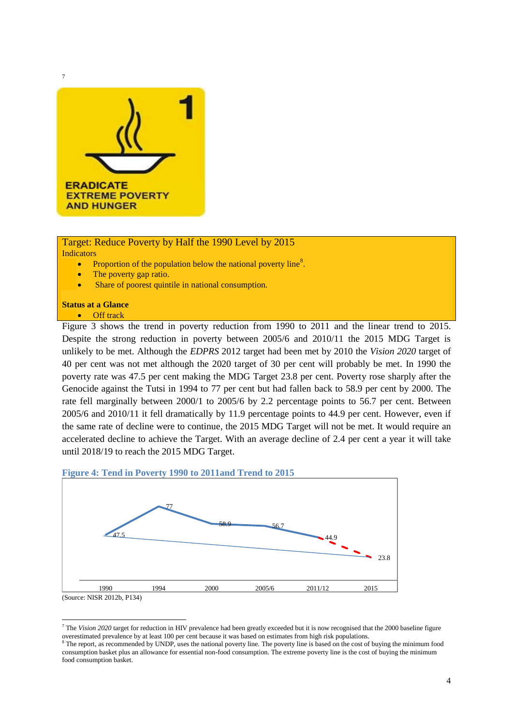

#### Target: Reduce Poverty by Half the 1990 Level by 2015 Indicators

- Proportion of the population below the national poverty line<sup>8</sup>.
- The poverty gap ratio.
- Share of poorest quintile in national consumption.

#### **Status at a Glance**

#### • Off track

1

Figure 3 shows the trend in poverty reduction from 1990 to 2011 and the linear trend to 2015. Despite the strong reduction in poverty between 2005/6 and 2010/11 the 2015 MDG Target is unlikely to be met. Although the *EDPRS* 2012 target had been met by 2010 the *Vision 2020* target of 40 per cent was not met although the 2020 target of 30 per cent will probably be met. In 1990 the poverty rate was 47.5 per cent making the MDG Target 23.8 per cent. Poverty rose sharply after the Genocide against the Tutsi in 1994 to 77 per cent but had fallen back to 58.9 per cent by 2000. The rate fell marginally between 2000/1 to 2005/6 by 2.2 percentage points to 56.7 per cent. Between 2005/6 and 2010/11 it fell dramatically by 11.9 percentage points to 44.9 per cent. However, even if the same rate of decline were to continue, the 2015 MDG Target will not be met. It would require an accelerated decline to achieve the Target. With an average decline of 2.4 per cent a year it will take until 2018/19 to reach the 2015 MDG Target.





<sup>7</sup> The *Vision 2020* target for reduction in HIV prevalence had been greatly exceeded but it is now recognised that the 2000 baseline figure overestimated prevalence by at least 100 per cent because it was based on estimates from high risk populations.

The report, as recommended by UNDP, uses the national poverty line. The poverty line is based on the cost of buying the minimum food consumption basket plus an allowance for essential non-food consumption. The extreme poverty line is the cost of buying the minimum food consumption basket.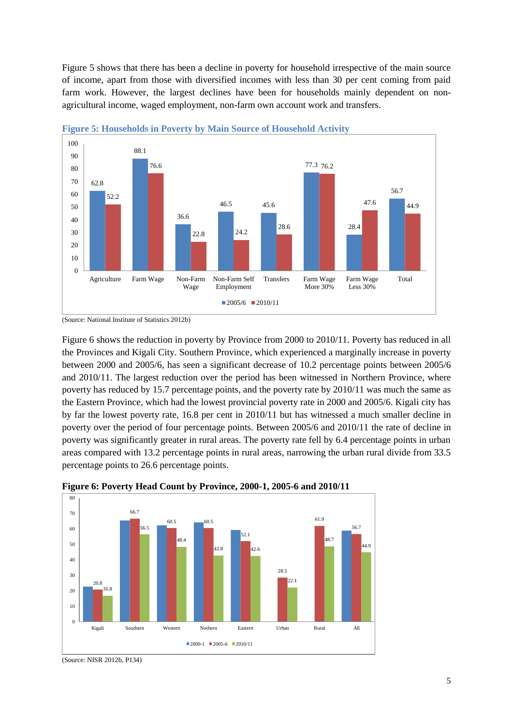Figure 5 shows that there has been a decline in poverty for household irrespective of the main source of income, apart from those with diversified incomes with less than 30 per cent coming from paid farm work. However, the largest declines have been for households mainly dependent on nonagricultural income, waged employment, non-farm own account work and transfers.





Figure 6 shows the reduction in poverty by Province from 2000 to 2010/11. Poverty has reduced in all the Provinces and Kigali City. Southern Province, which experienced a marginally increase in poverty between 2000 and 2005/6, has seen a significant decrease of 10.2 percentage points between 2005/6 and 2010/11. The largest reduction over the period has been witnessed in Northern Province, where poverty has reduced by 15.7 percentage points, and the poverty rate by 2010/11 was much the same as the Eastern Province, which had the lowest provincial poverty rate in 2000 and 2005/6. Kigali city has by far the lowest poverty rate, 16.8 per cent in 2010/11 but has witnessed a much smaller decline in poverty over the period of four percentage points. Between 2005/6 and 2010/11 the rate of decline in poverty was significantly greater in rural areas. The poverty rate fell by 6.4 percentage points in urban areas compared with 13.2 percentage points in rural areas, narrowing the urban rural divide from 33.5 percentage points to 26.6 percentage points.



**Figure 6: Poverty Head Count by Province, 2000-1, 2005-6 and 2010/11**

<sup>(</sup>Source: National Institute of Statistics 2012b)

<sup>(</sup>Source: NISR 2012b, P134)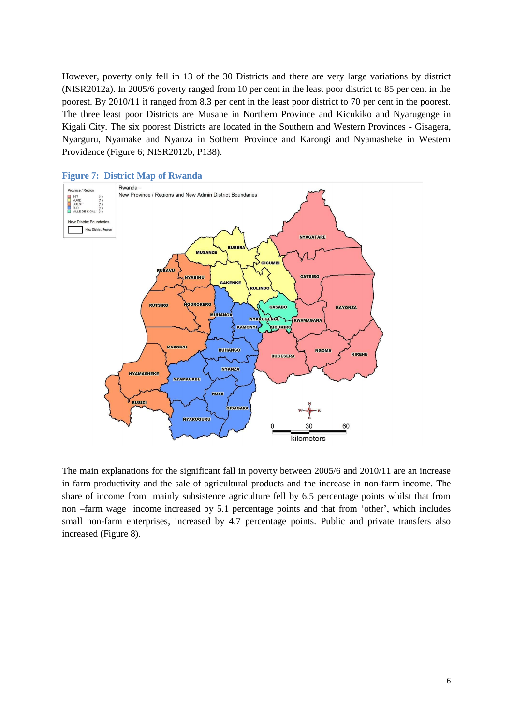However, poverty only fell in 13 of the 30 Districts and there are very large variations by district (NISR2012a). In 2005/6 poverty ranged from 10 per cent in the least poor district to 85 per cent in the poorest. By 2010/11 it ranged from 8.3 per cent in the least poor district to 70 per cent in the poorest. The three least poor Districts are Musane in Northern Province and Kicukiko and Nyarugenge in Kigali City. The six poorest Districts are located in the Southern and Western Provinces - Gisagera, Nyarguru, Nyamake and Nyanza in Sothern Province and Karongi and Nyamasheke in Western Providence (Figure 6; NISR2012b, P138).



#### **Figure 7: District Map of Rwanda**

The main explanations for the significant fall in poverty between 2005/6 and 2010/11 are an increase in farm productivity and the sale of agricultural products and the increase in non-farm income. The share of income from mainly subsistence agriculture fell by 6.5 percentage points whilst that from non –farm wage income increased by 5.1 percentage points and that from 'other', which includes small non-farm enterprises, increased by 4.7 percentage points. Public and private transfers also increased (Figure 8).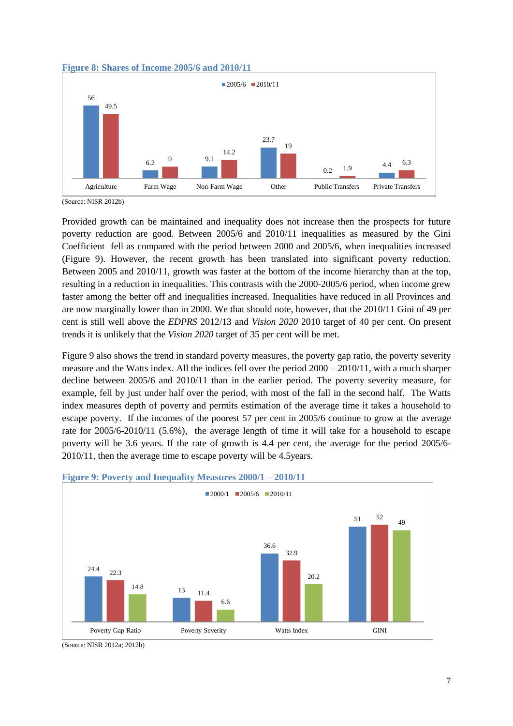

#### **Figure 8: Shares of Income 2005/6 and 2010/11**

(Source: NISR 2012b)

Provided growth can be maintained and inequality does not increase then the prospects for future poverty reduction are good. Between 2005/6 and 2010/11 inequalities as measured by the Gini Coefficient fell as compared with the period between 2000 and 2005/6, when inequalities increased (Figure 9). However, the recent growth has been translated into significant poverty reduction. Between 2005 and 2010/11, growth was faster at the bottom of the income hierarchy than at the top, resulting in a reduction in inequalities. This contrasts with the 2000-2005/6 period, when income grew faster among the better off and inequalities increased. Inequalities have reduced in all Provinces and are now marginally lower than in 2000. We that should note, however, that the 2010/11 Gini of 49 per cent is still well above the *EDPRS* 2012/13 and *Vision 2020* 2010 target of 40 per cent. On present trends it is unlikely that the *Vision 2020* target of 35 per cent will be met.

Figure 9 also shows the trend in standard poverty measures, the poverty gap ratio, the poverty severity measure and the Watts index. All the indices fell over the period 2000 – 2010/11, with a much sharper decline between 2005/6 and 2010/11 than in the earlier period. The poverty severity measure, for example, fell by just under half over the period, with most of the fall in the second half. The Watts index measures depth of poverty and permits estimation of the average time it takes a household to escape poverty. If the incomes of the poorest 57 per cent in 2005/6 continue to grow at the average rate for 2005/6-2010/11 (5.6%), the average length of time it will take for a household to escape poverty will be 3.6 years. If the rate of growth is 4.4 per cent, the average for the period 2005/6- 2010/11, then the average time to escape poverty will be 4.5years.



#### **Figure 9: Poverty and Inequality Measures 2000/1 – 2010/11**

<sup>(</sup>Source: NISR 2012a; 2012b)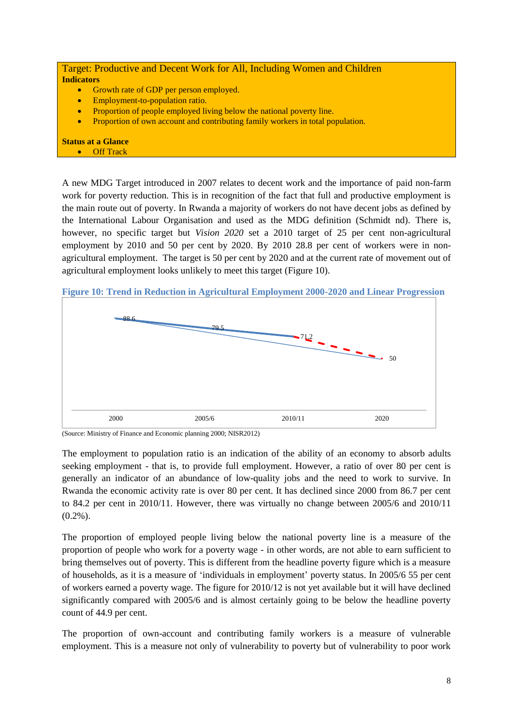Target: Productive and Decent Work for All, Including Women and Children **Indicators**

- Growth rate of GDP per person employed.
- Employment-to-population ratio.
- Proportion of people employed living below the national poverty line.
- Proportion of own account and contributing family workers in total population.

**Status at a Glance •** Off Track

A new MDG Target introduced in 2007 relates to decent work and the importance of paid non-farm work for poverty reduction. This is in recognition of the fact that full and productive employment is the main route out of poverty. In Rwanda a majority of workers do not have decent jobs as defined by the International Labour Organisation and used as the MDG definition (Schmidt nd). There is, however, no specific target but *Vision 2020* set a 2010 target of 25 per cent non-agricultural employment by 2010 and 50 per cent by 2020. By 2010 28.8 per cent of workers were in nonagricultural employment. The target is 50 per cent by 2020 and at the current rate of movement out of agricultural employment looks unlikely to meet this target (Figure 10).

**Figure 10: Trend in Reduction in Agricultural Employment 2000-2020 and Linear Progression** 



(Source: Ministry of Finance and Economic planning 2000; NISR2012)

The employment to population ratio is an indication of the ability of an economy to absorb adults seeking employment - that is, to provide full employment. However, a ratio of over 80 per cent is generally an indicator of an abundance of low-quality jobs and the need to work to survive. In Rwanda the economic activity rate is over 80 per cent. It has declined since 2000 from 86.7 per cent to 84.2 per cent in 2010/11. However, there was virtually no change between 2005/6 and 2010/11  $(0.2\%)$ .

The proportion of employed people living below the national poverty line is a measure of the proportion of people who work for a poverty wage - in other words, are not able to earn sufficient to bring themselves out of poverty. This is different from the headline poverty figure which is a measure of households, as it is a measure of 'individuals in employment' poverty status. In 2005/6 55 per cent of workers earned a poverty wage. The figure for 2010/12 is not yet available but it will have declined significantly compared with 2005/6 and is almost certainly going to be below the headline poverty count of 44.9 per cent.

The proportion of own-account and contributing family workers is a measure of vulnerable employment. This is a measure not only of vulnerability to poverty but of vulnerability to poor work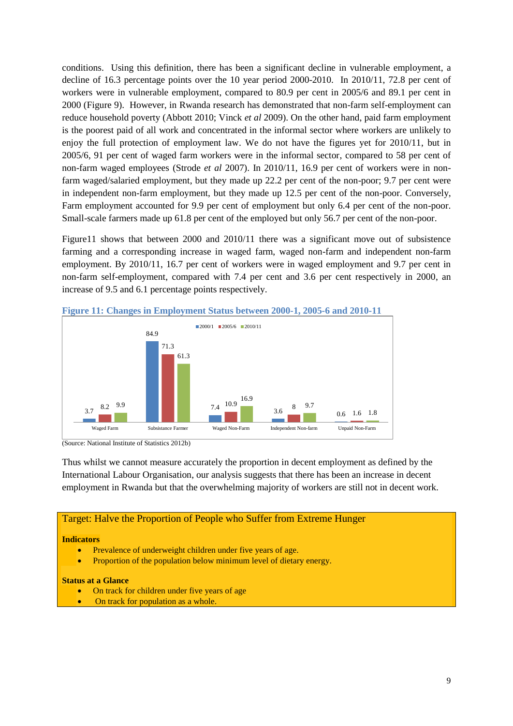conditions. Using this definition, there has been a significant decline in vulnerable employment, a decline of 16.3 percentage points over the 10 year period 2000-2010. In 2010/11, 72.8 per cent of workers were in vulnerable employment, compared to 80.9 per cent in 2005/6 and 89.1 per cent in 2000 (Figure 9). However, in Rwanda research has demonstrated that non-farm self-employment can reduce household poverty (Abbott 2010; Vinck *et al* 2009). On the other hand, paid farm employment is the poorest paid of all work and concentrated in the informal sector where workers are unlikely to enjoy the full protection of employment law. We do not have the figures yet for 2010/11, but in 2005/6, 91 per cent of waged farm workers were in the informal sector, compared to 58 per cent of non-farm waged employees (Strode *et al* 2007). In 2010/11, 16.9 per cent of workers were in nonfarm waged/salaried employment, but they made up 22.2 per cent of the non-poor; 9.7 per cent were in independent non-farm employment, but they made up 12.5 per cent of the non-poor. Conversely, Farm employment accounted for 9.9 per cent of employment but only 6.4 per cent of the non-poor. Small-scale farmers made up 61.8 per cent of the employed but only 56.7 per cent of the non-poor.

Figure11 shows that between 2000 and 2010/11 there was a significant move out of subsistence farming and a corresponding increase in waged farm, waged non-farm and independent non-farm employment. By 2010/11, 16.7 per cent of workers were in waged employment and 9.7 per cent in non-farm self-employment, compared with 7.4 per cent and 3.6 per cent respectively in 2000, an increase of 9.5 and 6.1 percentage points respectively.



**Figure 11: Changes in Employment Status between 2000-1, 2005-6 and 2010-11**

Thus whilst we cannot measure accurately the proportion in decent employment as defined by the International Labour Organisation, our analysis suggests that there has been an increase in decent employment in Rwanda but that the overwhelming majority of workers are still not in decent work.

# Target: Halve the Proportion of People who Suffer from Extreme Hunger

#### **Indicators**

- Prevalence of underweight children under five years of age.
- Proportion of the population below minimum level of dietary energy.

#### **Status at a Glance**

- On track for children under five years of age
- On track for population as a whole.

<sup>(</sup>Source: National Institute of Statistics 2012b)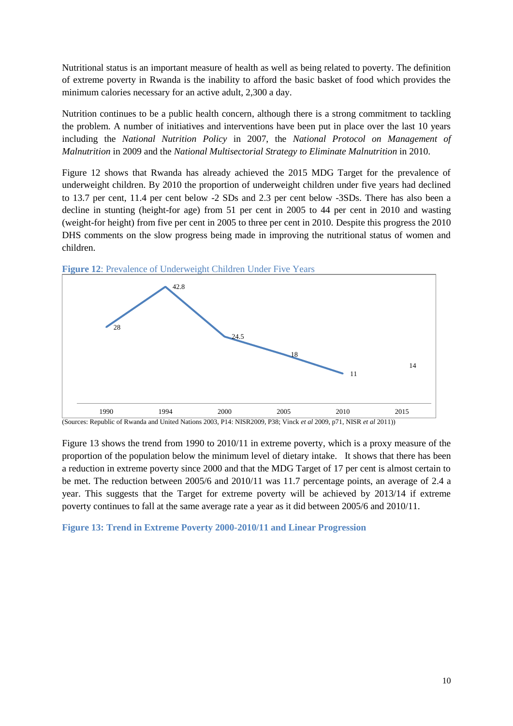Nutritional status is an important measure of health as well as being related to poverty. The definition of extreme poverty in Rwanda is the inability to afford the basic basket of food which provides the minimum calories necessary for an active adult, 2,300 a day.

Nutrition continues to be a public health concern, although there is a strong commitment to tackling the problem. A number of initiatives and interventions have been put in place over the last 10 years including the *National Nutrition Policy* in 2007, the *National Protocol on Management of Malnutrition* in 2009 and the *National Multisectorial Strategy to Eliminate Malnutrition* in 2010.

Figure 12 shows that Rwanda has already achieved the 2015 MDG Target for the prevalence of underweight children. By 2010 the proportion of underweight children under five years had declined to 13.7 per cent, 11.4 per cent below -2 SDs and 2.3 per cent below -3SDs. There has also been a decline in stunting (height-for age) from 51 per cent in 2005 to 44 per cent in 2010 and wasting (weight-for height) from five per cent in 2005 to three per cent in 2010. Despite this progress the 2010 DHS comments on the slow progress being made in improving the nutritional status of women and children.



**Figure 12**: Prevalence of Underweight Children Under Five Years

Figure 13 shows the trend from 1990 to 2010/11 in extreme poverty, which is a proxy measure of the proportion of the population below the minimum level of dietary intake. It shows that there has been a reduction in extreme poverty since 2000 and that the MDG Target of 17 per cent is almost certain to be met. The reduction between 2005/6 and 2010/11 was 11.7 percentage points, an average of 2.4 a year. This suggests that the Target for extreme poverty will be achieved by 2013/14 if extreme poverty continues to fall at the same average rate a year as it did between 2005/6 and 2010/11.

**Figure 13: Trend in Extreme Poverty 2000-2010/11 and Linear Progression**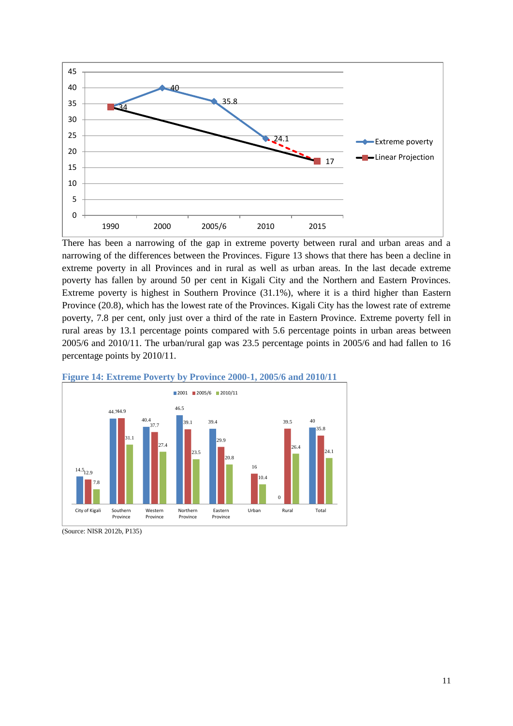

There has been a narrowing of the gap in extreme poverty between rural and urban areas and a narrowing of the differences between the Provinces. Figure 13 shows that there has been a decline in extreme poverty in all Provinces and in rural as well as urban areas. In the last decade extreme poverty has fallen by around 50 per cent in Kigali City and the Northern and Eastern Provinces. Extreme poverty is highest in Southern Province (31.1%), where it is a third higher than Eastern Province (20.8), which has the lowest rate of the Provinces. Kigali City has the lowest rate of extreme poverty, 7.8 per cent, only just over a third of the rate in Eastern Province. Extreme poverty fell in rural areas by 13.1 percentage points compared with 5.6 percentage points in urban areas between 2005/6 and 2010/11. The urban/rural gap was 23.5 percentage points in 2005/6 and had fallen to 16 percentage points by 2010/11.





<sup>(</sup>Source: NISR 2012b, P135)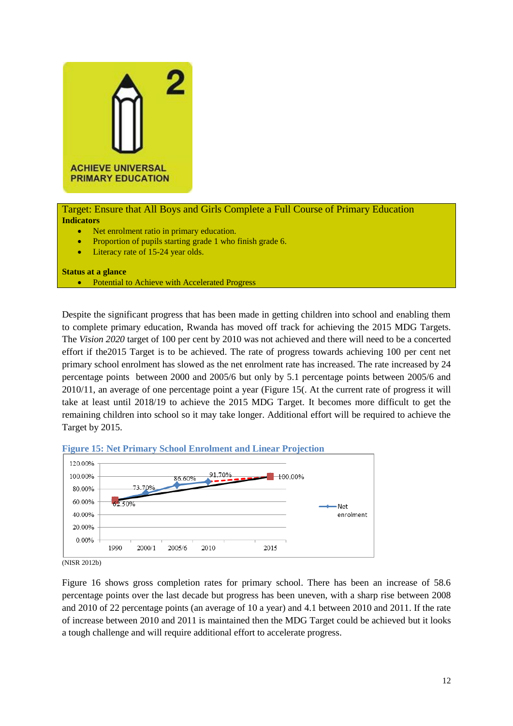

Target: Ensure that All Boys and Girls Complete a Full Course of Primary Education **Indicators**

- Net enrolment ratio in primary education.
- Proportion of pupils starting grade 1 who finish grade 6.
- Literacy rate of 15-24 year olds.

**Status at a glance**

• Potential to Achieve with Accelerated Progress

Despite the significant progress that has been made in getting children into school and enabling them to complete primary education, Rwanda has moved off track for achieving the 2015 MDG Targets. The *Vision 2020* target of 100 per cent by 2010 was not achieved and there will need to be a concerted effort if the2015 Target is to be achieved. The rate of progress towards achieving 100 per cent net primary school enrolment has slowed as the net enrolment rate has increased. The rate increased by 24 percentage points between 2000 and 2005/6 but only by 5.1 percentage points between 2005/6 and 2010/11, an average of one percentage point a year (Figure 15(. At the current rate of progress it will take at least until 2018/19 to achieve the 2015 MDG Target. It becomes more difficult to get the remaining children into school so it may take longer. Additional effort will be required to achieve the Target by 2015.



**Figure 15: Net Primary School Enrolment and Linear Projection** 

(NISR 2012b)

Figure 16 shows gross completion rates for primary school. There has been an increase of 58.6 percentage points over the last decade but progress has been uneven, with a sharp rise between 2008 and 2010 of 22 percentage points (an average of 10 a year) and 4.1 between 2010 and 2011. If the rate of increase between 2010 and 2011 is maintained then the MDG Target could be achieved but it looks a tough challenge and will require additional effort to accelerate progress.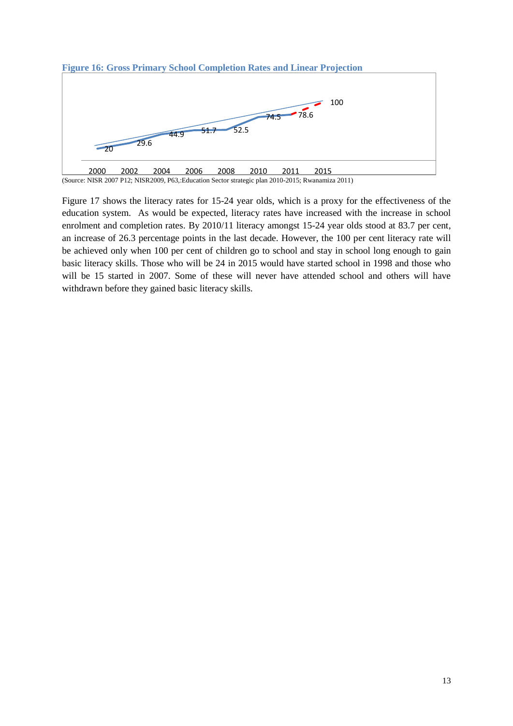

Figure 17 shows the literacy rates for 15-24 year olds, which is a proxy for the effectiveness of the education system. As would be expected, literacy rates have increased with the increase in school enrolment and completion rates. By 2010/11 literacy amongst 15-24 year olds stood at 83.7 per cent, an increase of 26.3 percentage points in the last decade. However, the 100 per cent literacy rate will be achieved only when 100 per cent of children go to school and stay in school long enough to gain basic literacy skills. Those who will be 24 in 2015 would have started school in 1998 and those who will be 15 started in 2007. Some of these will never have attended school and others will have withdrawn before they gained basic literacy skills.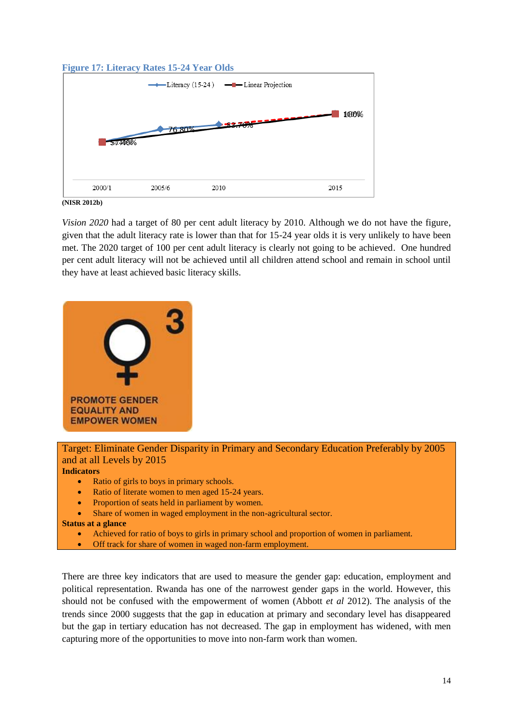# **Figure 17: Literacy Rates 15-24 Year Olds**



**(NISR 2012b)**

*Vision 2020* had a target of 80 per cent adult literacy by 2010. Although we do not have the figure, given that the adult literacy rate is lower than that for 15-24 year olds it is very unlikely to have been met. The 2020 target of 100 per cent adult literacy is clearly not going to be achieved. One hundred per cent adult literacy will not be achieved until all children attend school and remain in school until they have at least achieved basic literacy skills.



Target: Eliminate Gender Disparity in Primary and Secondary Education Preferably by 2005 and at all Levels by 2015

**Indicators**

- Ratio of girls to boys in primary schools.
- Ratio of literate women to men aged 15-24 years.
- Proportion of seats held in parliament by women.
- Share of women in waged employment in the non-agricultural sector.

- Achieved for ratio of boys to girls in primary school and proportion of women in parliament.
- Off track for share of women in waged non-farm employment.

There are three key indicators that are used to measure the gender gap: education, employment and political representation. Rwanda has one of the narrowest gender gaps in the world. However, this should not be confused with the empowerment of women (Abbott *et al* 2012). The analysis of the trends since 2000 suggests that the gap in education at primary and secondary level has disappeared but the gap in tertiary education has not decreased. The gap in employment has widened, with men capturing more of the opportunities to move into non-farm work than women.

**Status at a glance**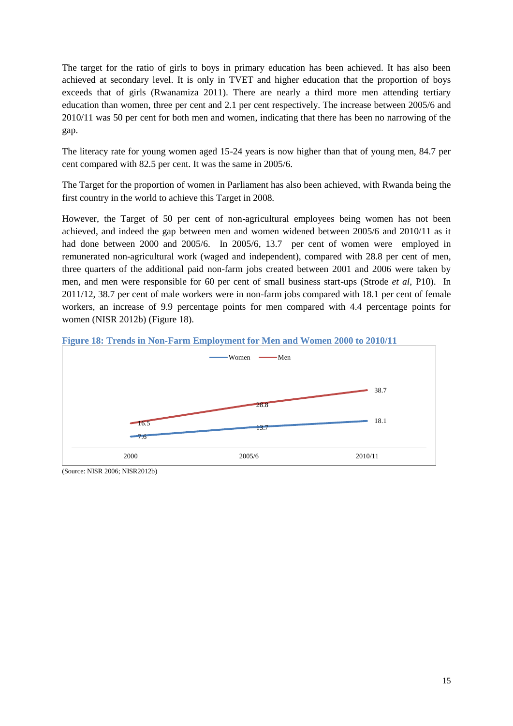The target for the ratio of girls to boys in primary education has been achieved. It has also been achieved at secondary level. It is only in TVET and higher education that the proportion of boys exceeds that of girls (Rwanamiza 2011). There are nearly a third more men attending tertiary education than women, three per cent and 2.1 per cent respectively. The increase between 2005/6 and 2010/11 was 50 per cent for both men and women, indicating that there has been no narrowing of the gap.

The literacy rate for young women aged 15-24 years is now higher than that of young men, 84.7 per cent compared with 82.5 per cent. It was the same in 2005/6.

The Target for the proportion of women in Parliament has also been achieved, with Rwanda being the first country in the world to achieve this Target in 2008.

However, the Target of 50 per cent of non-agricultural employees being women has not been achieved, and indeed the gap between men and women widened between 2005/6 and 2010/11 as it had done between 2000 and 2005/6. In 2005/6, 13.7 per cent of women were employed in remunerated non-agricultural work (waged and independent), compared with 28.8 per cent of men, three quarters of the additional paid non-farm jobs created between 2001 and 2006 were taken by men, and men were responsible for 60 per cent of small business start-ups (Strode *et al*, P10). In 2011/12, 38.7 per cent of male workers were in non-farm jobs compared with 18.1 per cent of female workers, an increase of 9.9 percentage points for men compared with 4.4 percentage points for women (NISR 2012b) (Figure 18).





(Source: NISR 2006; NISR2012b)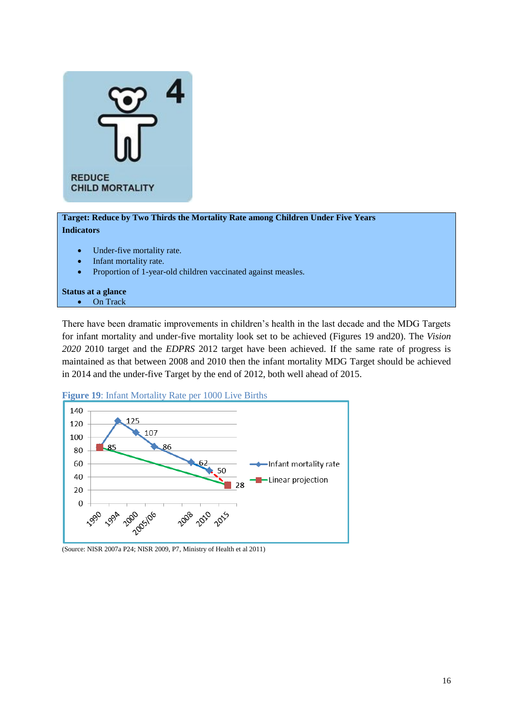

**Target: Reduce by Two Thirds the Mortality Rate among Children Under Five Years Indicators**

- Under-five mortality rate.
- Infant mortality rate.
- Proportion of 1-year-old children vaccinated against measles.

#### **Status at a glance** • On Track

There have been dramatic improvements in children's health in the last decade and the MDG Targets for infant mortality and under-five mortality look set to be achieved (Figures 19 and20). The *Vision 2020* 2010 target and the *EDPRS* 2012 target have been achieved. If the same rate of progress is maintained as that between 2008 and 2010 then the infant mortality MDG Target should be achieved in 2014 and the under-five Target by the end of 2012, both well ahead of 2015.





<sup>(</sup>Source: NISR 2007a P24; NISR 2009, P7, Ministry of Health et al 2011)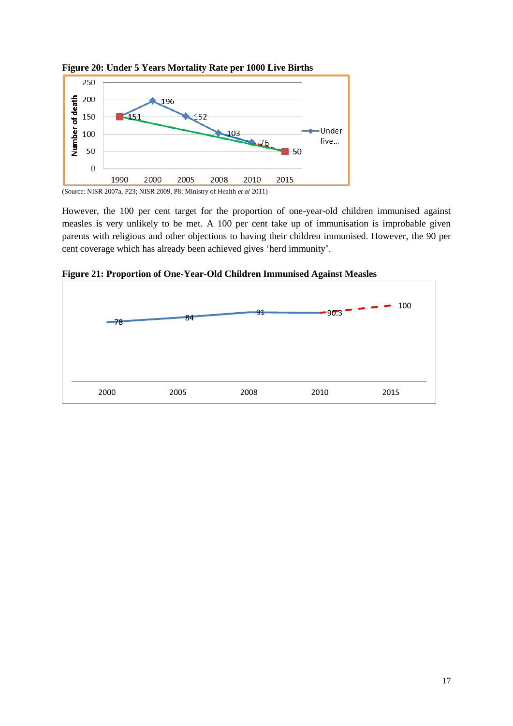

**Figure 20: Under 5 Years Mortality Rate per 1000 Live Births**

However, the 100 per cent target for the proportion of one-year-old children immunised against measles is very unlikely to be met. A 100 per cent take up of immunisation is improbable given parents with religious and other objections to having their children immunised. However, the 90 per cent coverage which has already been achieved gives 'herd immunity'.

**Figure 21: Proportion of One-Year-Old Children Immunised Against Measles**

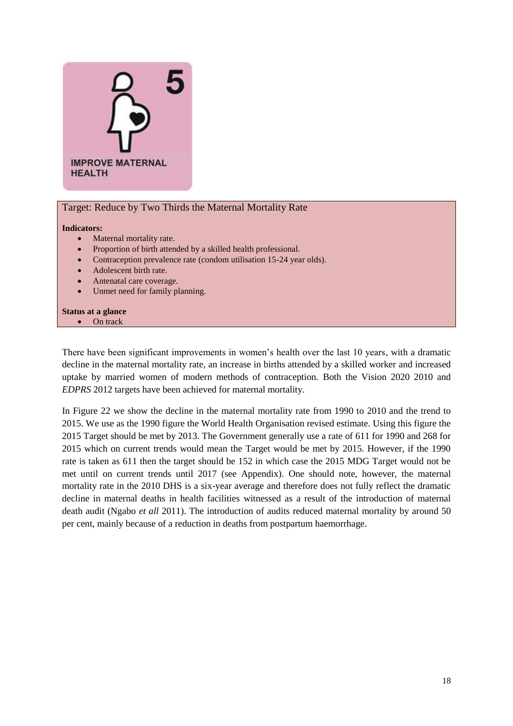

# Target: Reduce by Two Thirds the Maternal Mortality Rate

#### **Indicators:**

- Maternal mortality rate.
- Proportion of birth attended by a skilled health professional.
- Contraception prevalence rate (condom utilisation 15-24 year olds).
- Adolescent birth rate.
- Antenatal care coverage.
- Unmet need for family planning.

#### **Status at a glance**

• On track

There have been significant improvements in women's health over the last 10 years, with a dramatic decline in the maternal mortality rate, an increase in births attended by a skilled worker and increased uptake by married women of modern methods of contraception. Both the Vision 2020 2010 and *EDPRS* 2012 targets have been achieved for maternal mortality.

In Figure 22 we show the decline in the maternal mortality rate from 1990 to 2010 and the trend to 2015. We use as the 1990 figure the World Health Organisation revised estimate. Using this figure the 2015 Target should be met by 2013. The Government generally use a rate of 611 for 1990 and 268 for 2015 which on current trends would mean the Target would be met by 2015. However, if the 1990 rate is taken as 611 then the target should be 152 in which case the 2015 MDG Target would not be met until on current trends until 2017 (see Appendix). One should note, however, the maternal mortality rate in the 2010 DHS is a six-year average and therefore does not fully reflect the dramatic decline in maternal deaths in health facilities witnessed as a result of the introduction of maternal death audit (Ngabo *et all* 2011). The introduction of audits reduced maternal mortality by around 50 per cent, mainly because of a reduction in deaths from postpartum haemorrhage.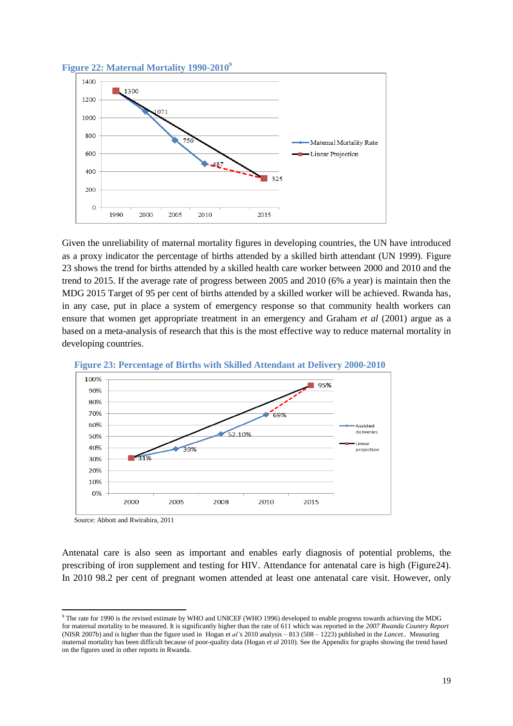

Given the unreliability of maternal mortality figures in developing countries, the UN have introduced as a proxy indicator the percentage of births attended by a skilled birth attendant (UN 1999). Figure 23 shows the trend for births attended by a skilled health care worker between 2000 and 2010 and the trend to 2015. If the average rate of progress between 2005 and 2010 (6% a year) is maintain then the MDG 2015 Target of 95 per cent of births attended by a skilled worker will be achieved. Rwanda has, in any case, put in place a system of emergency response so that community health workers can ensure that women get appropriate treatment in an emergency and Graham *et al* (2001) argue as a based on a meta-analysis of research that this is the most effective way to reduce maternal mortality in developing countries.





Source: Abbott and Rwirahira, 2011

-

Antenatal care is also seen as important and enables early diagnosis of potential problems, the prescribing of iron supplement and testing for HIV. Attendance for antenatal care is high (Figure24). In 2010 98.2 per cent of pregnant women attended at least one antenatal care visit. However, only

<sup>&</sup>lt;sup>9</sup> The rate for 1990 is the revised estimate by WHO and UNICEF (WHO 1996) developed to enable progress towards achieving the MDG for maternal mortality to be measured. It is significantly higher than the rate of 611 which was reported in the *2007 Rwanda Country Report* (NISR 2007b) and is higher than the figure used in Hogan et *al'*s 2010 analysis – 813 (508 – 1223) published in the *Lancet..* Measuring maternal mortality has been difficult because of poor-quality data (Hogan *et al* 2010). See the Appendix for graphs showing the trend based on the figures used in other reports in Rwanda.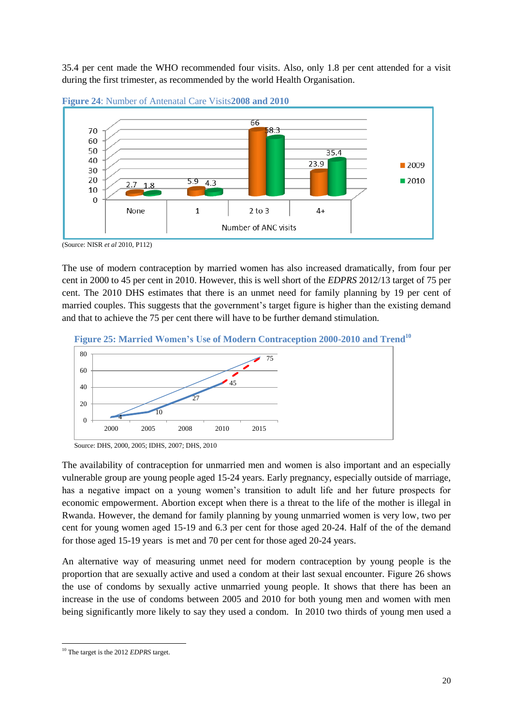35.4 per cent made the WHO recommended four visits. Also, only 1.8 per cent attended for a visit during the first trimester, as recommended by the world Health Organisation.



**Figure 24**: Number of Antenatal Care Visits**2008 and 2010**

The use of modern contraception by married women has also increased dramatically, from four per cent in 2000 to 45 per cent in 2010. However, this is well short of the *EDPRS* 2012/13 target of 75 per cent. The 2010 DHS estimates that there is an unmet need for family planning by 19 per cent of married couples. This suggests that the government's target figure is higher than the existing demand and that to achieve the 75 per cent there will have to be further demand stimulation.







The availability of contraception for unmarried men and women is also important and an especially vulnerable group are young people aged 15-24 years. Early pregnancy, especially outside of marriage, has a negative impact on a young women's transition to adult life and her future prospects for economic empowerment. Abortion except when there is a threat to the life of the mother is illegal in Rwanda. However, the demand for family planning by young unmarried women is very low, two per cent for young women aged 15-19 and 6.3 per cent for those aged 20-24. Half of the of the demand for those aged 15-19 years is met and 70 per cent for those aged 20-24 years.

An alternative way of measuring unmet need for modern contraception by young people is the proportion that are sexually active and used a condom at their last sexual encounter. Figure 26 shows the use of condoms by sexually active unmarried young people. It shows that there has been an increase in the use of condoms between 2005 and 2010 for both young men and women with men being significantly more likely to say they used a condom. In 2010 two thirds of young men used a

<sup>(</sup>Source: NISR *et al* 2010, P112)

<sup>1</sup> <sup>10</sup> The target is the 2012 *EDPRS* target.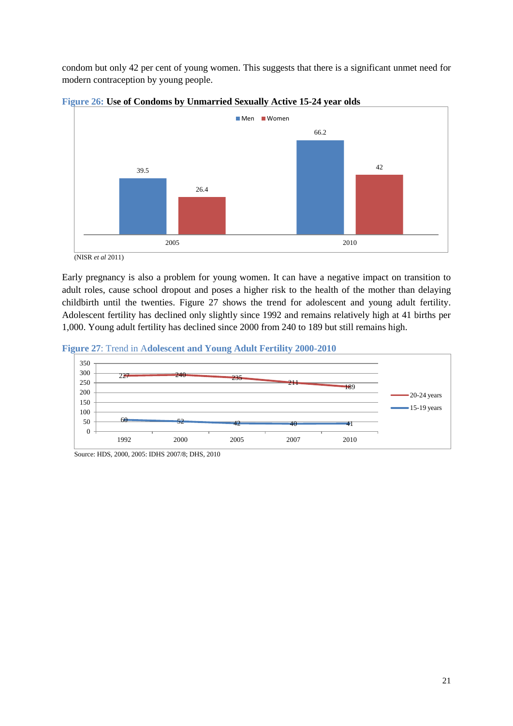condom but only 42 per cent of young women. This suggests that there is a significant unmet need for modern contraception by young people.





Early pregnancy is also a problem for young women. It can have a negative impact on transition to adult roles, cause school dropout and poses a higher risk to the health of the mother than delaying childbirth until the twenties. Figure 27 shows the trend for adolescent and young adult fertility. Adolescent fertility has declined only slightly since 1992 and remains relatively high at 41 births per 1,000. Young adult fertility has declined since 2000 from 240 to 189 but still remains high.

# **Figure 27**: Trend in A**dolescent and Young Adult Fertility 2000-2010**



Source: HDS, 2000, 2005: IDHS 2007/8; DHS, 2010

<sup>(</sup>NISR *et al* 2011)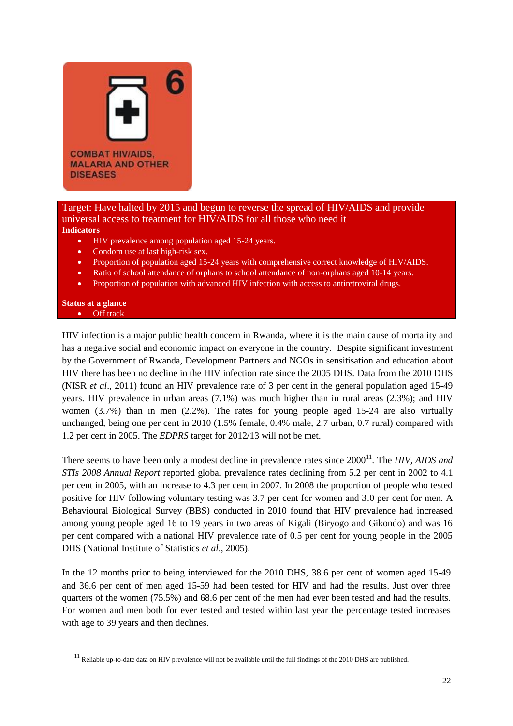

# Target: Have halted by 2015 and begun to reverse the spread of HIV/AIDS and provide universal access to treatment for HIV/AIDS for all those who need it **Indicators**

- HIV prevalence among population aged 15-24 years.
- Condom use at last high-risk sex.
- Proportion of population aged 15-24 years with comprehensive correct knowledge of HIV/AIDS.
- Ratio of school attendance of orphans to school attendance of non-orphans aged 10-14 years.
- Proportion of population with advanced HIV infection with access to antiretroviral drugs.

# **Status at a glance**

• Off track

-

HIV infection is a major public health concern in Rwanda, where it is the main cause of mortality and has a negative social and economic impact on everyone in the country. Despite significant investment by the Government of Rwanda, Development Partners and NGOs in sensitisation and education about HIV there has been no decline in the HIV infection rate since the 2005 DHS. Data from the 2010 DHS (NISR *et al*., 2011) found an HIV prevalence rate of 3 per cent in the general population aged 15-49 years. HIV prevalence in urban areas (7.1%) was much higher than in rural areas (2.3%); and HIV women (3.7%) than in men (2.2%). The rates for young people aged 15-24 are also virtually unchanged, being one per cent in 2010 (1.5% female, 0.4% male, 2.7 urban, 0.7 rural) compared with 1.2 per cent in 2005. The *EDPRS* target for 2012/13 will not be met.

There seems to have been only a modest decline in prevalence rates since 2000<sup>11</sup>. The *HIV, AIDS and STIs 2008 Annual Report* reported global prevalence rates declining from 5.2 per cent in 2002 to 4.1 per cent in 2005, with an increase to 4.3 per cent in 2007. In 2008 the proportion of people who tested positive for HIV following voluntary testing was 3.7 per cent for women and 3.0 per cent for men. A Behavioural Biological Survey (BBS) conducted in 2010 found that HIV prevalence had increased among young people aged 16 to 19 years in two areas of Kigali (Biryogo and Gikondo) and was 16 per cent compared with a national HIV prevalence rate of 0.5 per cent for young people in the 2005 DHS (National Institute of Statistics *et al*., 2005).

In the 12 months prior to being interviewed for the 2010 DHS, 38.6 per cent of women aged 15-49 and 36.6 per cent of men aged 15-59 had been tested for HIV and had the results. Just over three quarters of the women (75.5%) and 68.6 per cent of the men had ever been tested and had the results. For women and men both for ever tested and tested within last year the percentage tested increases with age to 39 years and then declines.

 $11$  Reliable up-to-date data on HIV prevalence will not be available until the full findings of the 2010 DHS are published.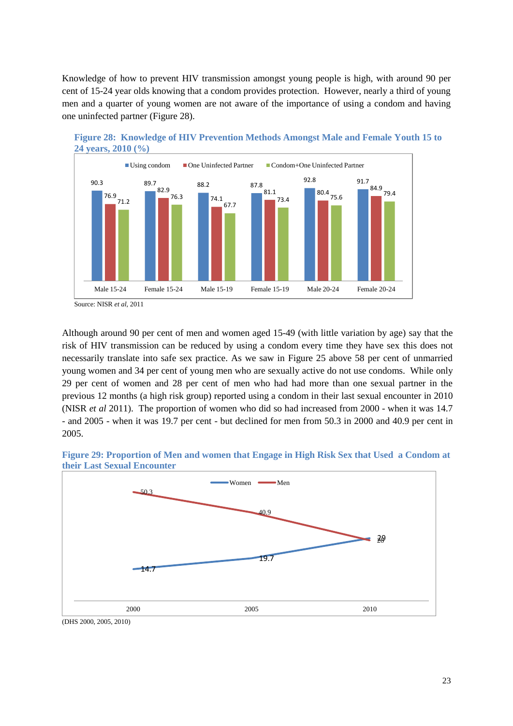Knowledge of how to prevent HIV transmission amongst young people is high, with around 90 per cent of 15-24 year olds knowing that a condom provides protection. However, nearly a third of young men and a quarter of young women are not aware of the importance of using a condom and having one uninfected partner (Figure 28).





Although around 90 per cent of men and women aged 15-49 (with little variation by age) say that the risk of HIV transmission can be reduced by using a condom every time they have sex this does not necessarily translate into safe sex practice. As we saw in Figure 25 above 58 per cent of unmarried young women and 34 per cent of young men who are sexually active do not use condoms. While only 29 per cent of women and 28 per cent of men who had had more than one sexual partner in the previous 12 months (a high risk group) reported using a condom in their last sexual encounter in 2010 (NISR *et al* 2011). The proportion of women who did so had increased from 2000 - when it was 14.7 - and 2005 - when it was 19.7 per cent - but declined for men from 50.3 in 2000 and 40.9 per cent in 2005.





<sup>(</sup>DHS 2000, 2005, 2010)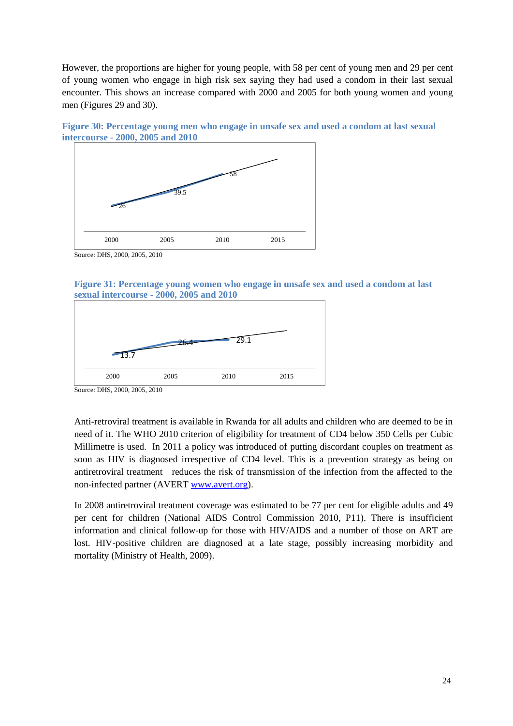However, the proportions are higher for young people, with 58 per cent of young men and 29 per cent of young women who engage in high risk sex saying they had used a condom in their last sexual encounter. This shows an increase compared with 2000 and 2005 for both young women and young men (Figures 29 and 30).





Source: DHS, 2000, 2005, 2010





Source: DHS, 2000, 2005, 2010

Anti-retroviral treatment is available in Rwanda for all adults and children who are deemed to be in need of it. The WHO 2010 criterion of eligibility for treatment of CD4 below 350 Cells per Cubic Millimetre is used. In 2011 a policy was introduced of putting discordant couples on treatment as soon as HIV is diagnosed irrespective of CD4 level. This is a prevention strategy as being on antiretroviral treatment reduces the risk of transmission of the infection from the affected to the non-infected partner (AVERT [www.avert.org\)](http://www.avert.org/).

In 2008 antiretroviral treatment coverage was estimated to be 77 per cent for eligible adults and 49 per cent for children (National AIDS Control Commission 2010, P11). There is insufficient information and clinical follow-up for those with HIV/AIDS and a number of those on ART are lost. HIV-positive children are diagnosed at a late stage, possibly increasing morbidity and mortality (Ministry of Health, 2009).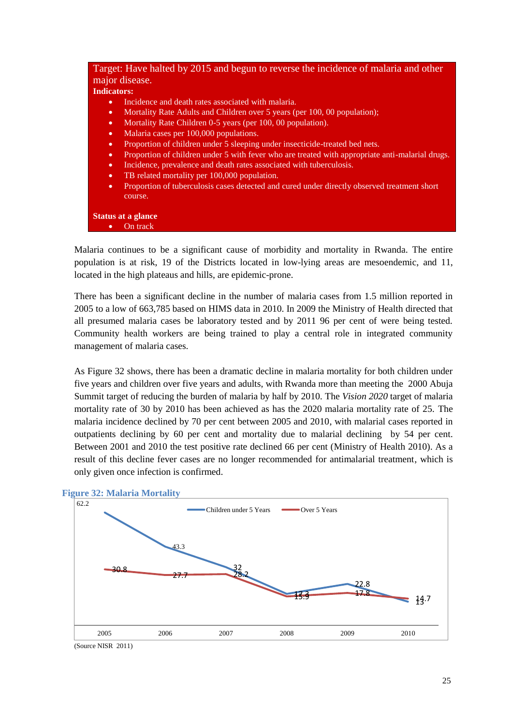# Target: Have halted by 2015 and begun to reverse the incidence of malaria and other major disease.

# **Indicators:**

- Incidence and death rates associated with malaria.
- Mortality Rate Adults and Children over 5 years (per 100, 00 population);
- Mortality Rate Children 0-5 years (per 100, 00 population).
- Malaria cases per 100,000 populations.
- Proportion of children under 5 sleeping under insecticide-treated bed nets.
- Proportion of children under 5 with fever who are treated with appropriate anti-malarial drugs.
- Incidence, prevalence and death rates associated with tuberculosis.
- TB related mortality per 100,000 population.
- Proportion of tuberculosis cases detected and cured under directly observed treatment short course.

**Status at a glance**

• On track

Malaria continues to be a significant cause of morbidity and mortality in Rwanda. The entire population is at risk, 19 of the Districts located in low-lying areas are mesoendemic, and 11, located in the high plateaus and hills, are epidemic-prone.

There has been a significant decline in the number of malaria cases from 1.5 million reported in 2005 to a low of 663,785 based on HIMS data in 2010. In 2009 the Ministry of Health directed that all presumed malaria cases be laboratory tested and by 2011 96 per cent of were being tested. Community health workers are being trained to play a central role in integrated community management of malaria cases.

As Figure 32 shows, there has been a dramatic decline in malaria mortality for both children under five years and children over five years and adults, with Rwanda more than meeting the 2000 Abuja Summit target of reducing the burden of malaria by half by 2010. The *Vision 2020* target of malaria mortality rate of 30 by 2010 has been achieved as has the 2020 malaria mortality rate of 25. The malaria incidence declined by 70 per cent between 2005 and 2010, with malarial cases reported in outpatients declining by 60 per cent and mortality due to malarial declining by 54 per cent. Between 2001 and 2010 the test positive rate declined 66 per cent (Ministry of Health 2010). As a result of this decline fever cases are no longer recommended for antimalarial treatment, which is only given once infection is confirmed.





<sup>(</sup>Source NISR 2011)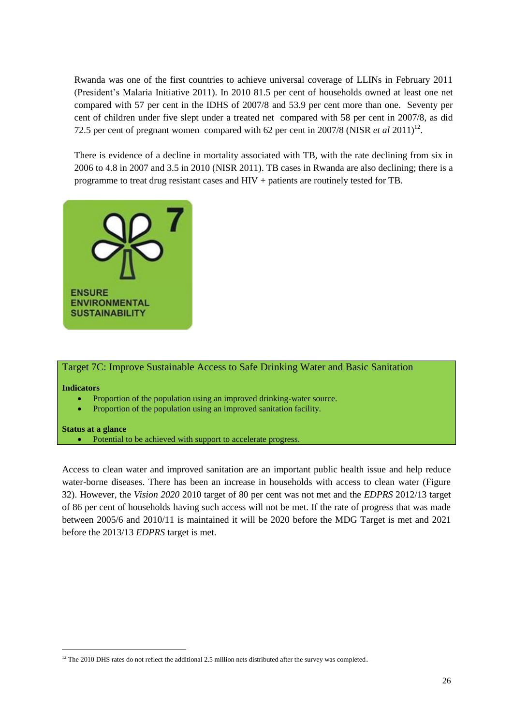Rwanda was one of the first countries to achieve universal coverage of LLINs in February 2011 (President's Malaria Initiative 2011). In 2010 81.5 per cent of households owned at least one net compared with 57 per cent in the IDHS of 2007/8 and 53.9 per cent more than one. Seventy per cent of children under five slept under a treated net compared with 58 per cent in 2007/8, as did 72.5 per cent of pregnant women compared with 62 per cent in 2007/8 (NISR *et al* 2011)<sup>12</sup>.

There is evidence of a decline in mortality associated with TB, with the rate declining from six in 2006 to 4.8 in 2007 and 3.5 in 2010 (NISR 2011). TB cases in Rwanda are also declining; there is a programme to treat drug resistant cases and HIV + patients are routinely tested for TB.



# Target 7C: Improve Sustainable Access to Safe Drinking Water and Basic Sanitation

## **Indicators**

-

- Proportion of the population using an improved drinking-water source.
- Proportion of the population using an improved sanitation facility.

## **Status at a glance**

Potential to be achieved with support to accelerate progress.

Access to clean water and improved sanitation are an important public health issue and help reduce water-borne diseases. There has been an increase in households with access to clean water (Figure 32). However, the *Vision 2020* 2010 target of 80 per cent was not met and the *EDPRS* 2012/13 target of 86 per cent of households having such access will not be met. If the rate of progress that was made between 2005/6 and 2010/11 is maintained it will be 2020 before the MDG Target is met and 2021 before the 2013/13 *EDPRS* target is met.

<sup>&</sup>lt;sup>12</sup> The 2010 DHS rates do not reflect the additional 2.5 million nets distributed after the survey was completed.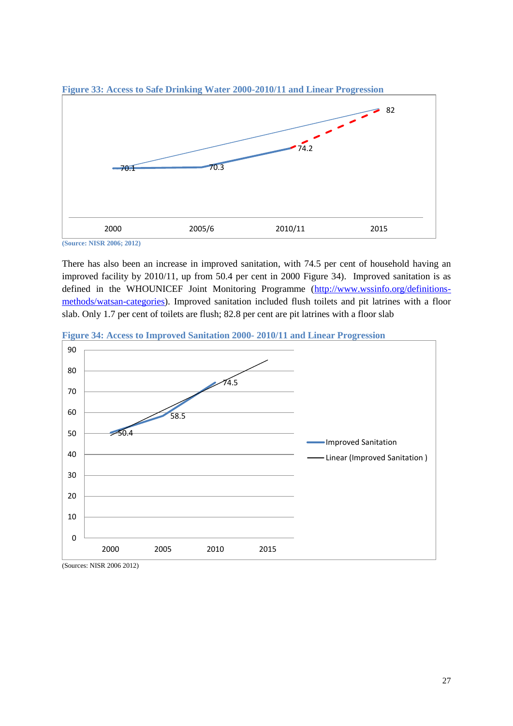



**(Source: NISR 2006; 2012)**

There has also been an increase in improved sanitation, with 74.5 per cent of household having an improved facility by 2010/11, up from 50.4 per cent in 2000 Figure 34). Improved sanitation is as defined in the WHOUNICEF Joint Monitoring Programme [\(http://www.wssinfo.org/definitions](http://www.wssinfo.org/definitions-methods/watsan-categories)[methods/watsan-categories\)](http://www.wssinfo.org/definitions-methods/watsan-categories). Improved sanitation included flush toilets and pit latrines with a floor slab. Only 1.7 per cent of toilets are flush; 82.8 per cent are pit latrines with a floor slab

**Figure 34: Access to Improved Sanitation 2000- 2010/11 and Linear Progression**



<sup>(</sup>Sources: NISR 2006 2012)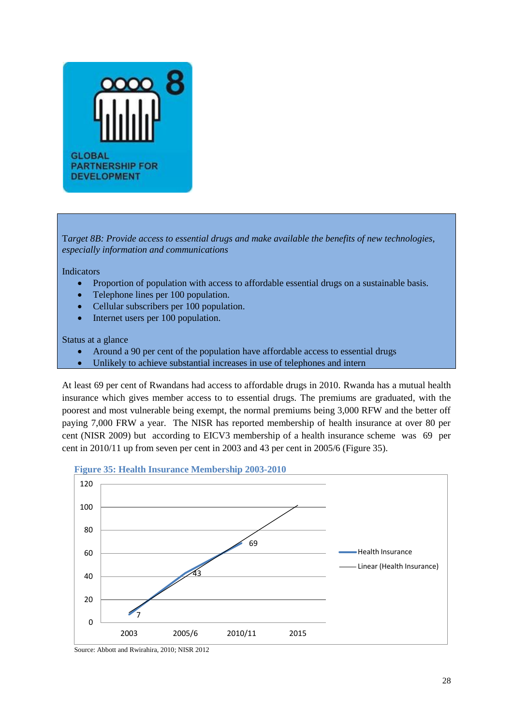

T*arget 8B: Provide access to essential drugs and make available the benefits of new technologies, especially information and communications*

Indicators

- Proportion of population with access to affordable essential drugs on a sustainable basis.
- Telephone lines per 100 population.
- Cellular subscribers per 100 population.
- Internet users per 100 population.

Status at a glance

- Around a 90 per cent of the population have affordable access to essential drugs
- Unlikely to achieve substantial increases in use of telephones and intern

At least 69 per cent of Rwandans had access to affordable drugs in 2010. Rwanda has a mutual health insurance which gives member access to to essential drugs. The premiums are graduated, with the poorest and most vulnerable being exempt, the normal premiums being 3,000 RFW and the better off paying 7,000 FRW a year. The NISR has reported membership of health insurance at over 80 per cent (NISR 2009) but according to EICV3 membership of a health insurance scheme was 69 per cent in 2010/11 up from seven per cent in 2003 and 43 per cent in 2005/6 (Figure 35).





Source: Abbott and Rwirahira, 2010; NISR 2012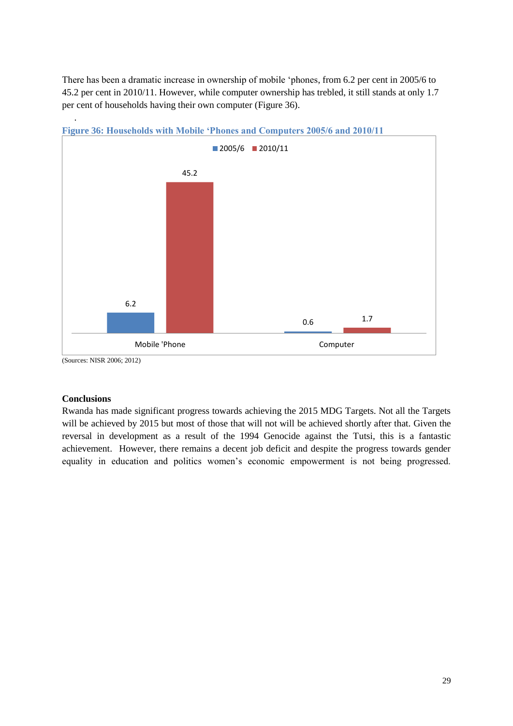There has been a dramatic increase in ownership of mobile 'phones, from 6.2 per cent in 2005/6 to 45.2 per cent in 2010/11. However, while computer ownership has trebled, it still stands at only 1.7 per cent of households having their own computer (Figure 36).



**Figure 36: Households with Mobile 'Phones and Computers 2005/6 and 2010/11**

(Sources: NISR 2006; 2012)

# **Conclusions**

.

Rwanda has made significant progress towards achieving the 2015 MDG Targets. Not all the Targets will be achieved by 2015 but most of those that will not will be achieved shortly after that. Given the reversal in development as a result of the 1994 Genocide against the Tutsi, this is a fantastic achievement. However, there remains a decent job deficit and despite the progress towards gender equality in education and politics women's economic empowerment is not being progressed.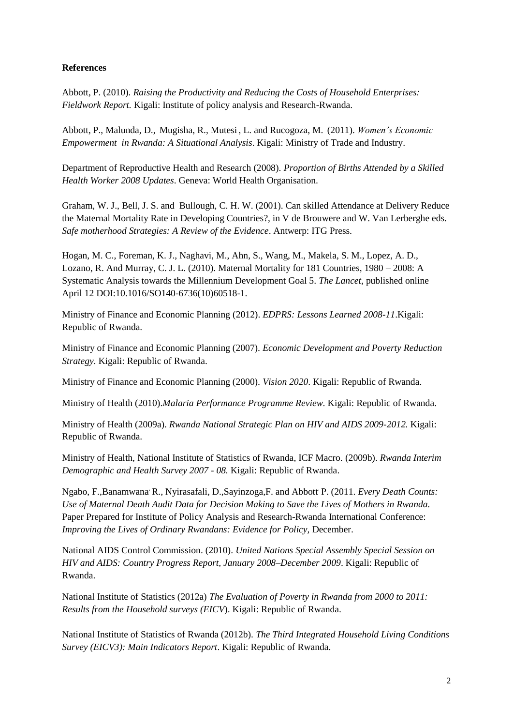# **References**

Abbott, P. (2010). *Raising the Productivity and Reducing the Costs of Household Enterprises: Fieldwork Report.* Kigali: Institute of policy analysis and Research-Rwanda.

Abbott, P., Malunda, D., Mugisha, R., Mutesi , L. and Rucogoza, M. (2011). *Women's Economic Empowerment in Rwanda: A Situational Analysis*. Kigali: Ministry of Trade and Industry.

Department of Reproductive Health and Research (2008). *Proportion of Births Attended by a Skilled Health Worker 2008 Updates*. Geneva: World Health Organisation.

Graham, W. J., Bell, J. S. and Bullough, C. H. W. (2001). Can skilled Attendance at Delivery Reduce the Maternal Mortality Rate in Developing Countries?, in V de Brouwere and W. Van Lerberghe eds. *Safe motherhood Strategies: A Review of the Evidence*. Antwerp: ITG Press.

Hogan, M. C., Foreman, K. J., Naghavi, M., Ahn, S., Wang, M., Makela, S. M., Lopez, A. D., Lozano, R. And Murray, C. J. L. (2010). Maternal Mortality for 181 Countries, 1980 – 2008: A Systematic Analysis towards the Millennium Development Goal 5. *The Lancet*, published online April 12 DOI:10.1016/SO140-6736(10)60518-1.

Ministry of Finance and Economic Planning (2012). *EDPRS: Lessons Learned 2008-11*.Kigali: Republic of Rwanda.

Ministry of Finance and Economic Planning (2007). *Economic Development and Poverty Reduction Strategy*. Kigali: Republic of Rwanda.

Ministry of Finance and Economic Planning (2000). *Vision 2020*. Kigali: Republic of Rwanda.

Ministry of Health (2010).*Malaria Performance Programme Review.* Kigali: Republic of Rwanda.

Ministry of Health (2009a). *Rwanda National Strategic Plan on HIV and AIDS 2009-2012.* Kigali: Republic of Rwanda.

Ministry of Health, National Institute of Statistics of Rwanda, ICF Macro. (2009b). *Rwanda Interim Demographic and Health Survey 2007 - 08.* Kigali: Republic of Rwanda.

Ngabo, F.,Banamwana<sup>,</sup> R., Nyirasafali, D.,Sayinzoga,F. and Abbott<sup>,</sup> P. (2011. *Every Death Counts: Use of Maternal Death Audit Data for Decision Making to Save the Lives of Mothers in Rwanda.* Paper Prepared for Institute of Policy Analysis and Research-Rwanda International Conference: *Improving the Lives of Ordinary Rwandans: Evidence for Policy,* December.

National AIDS Control Commission. (2010). *United Nations Special Assembly Special Session on HIV and AIDS: Country Progress Report, January 2008–December 2009*. Kigali: Republic of Rwanda.

National Institute of Statistics (2012a) *The Evaluation of Poverty in Rwanda from 2000 to 2011: Results from the Household surveys (EICV*). Kigali: Republic of Rwanda.

National Institute of Statistics of Rwanda (2012b). *The Third Integrated Household Living Conditions Survey (EICV3): Main Indicators Report*. Kigali: Republic of Rwanda.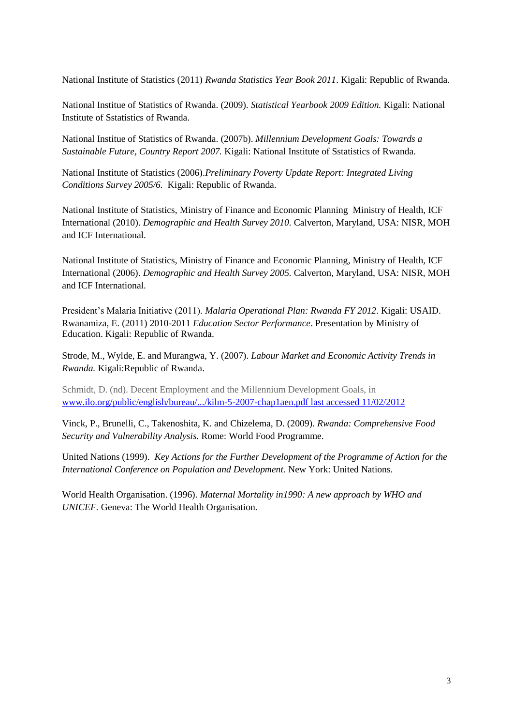National Institute of Statistics (2011) *Rwanda Statistics Year Book 2011*. Kigali: Republic of Rwanda.

National Institue of Statistics of Rwanda. (2009). *Statistical Yearbook 2009 Edition.* Kigali: National Institute of Sstatistics of Rwanda.

National Institue of Statistics of Rwanda. (2007b). *Millennium Development Goals: Towards a Sustainable Future, Country Report 2007.* Kigali: National Institute of Sstatistics of Rwanda.

National Institute of Statistics (2006).*Preliminary Poverty Update Report: Integrated Living Conditions Survey 2005/6.* Kigali: Republic of Rwanda.

National Institute of Statistics, Ministry of Finance and Economic Planning Ministry of Health, ICF International (2010). *Demographic and Health Survey 2010.* Calverton, Maryland, USA: NISR, MOH and ICF International.

National Institute of Statistics, Ministry of Finance and Economic Planning, Ministry of Health, ICF International (2006). *Demographic and Health Survey 2005.* Calverton, Maryland, USA: NISR, MOH and ICF International.

President's Malaria Initiative (2011). *Malaria Operational Plan: Rwanda FY 2012*. Kigali: USAID. Rwanamiza, E. (2011) 2010-2011 *Education Sector Performance*. Presentation by Ministry of Education. Kigali: Republic of Rwanda.

Strode, M., Wylde, E. and Murangwa, Y. (2007). *Labour Market and Economic Activity Trends in Rwanda.* Kigali:Republic of Rwanda.

Schmidt, D. (nd). Decent Employment and the Millennium Development Goals, in [www.ilo.org/public/english/bureau/.../kilm-5-2007-chap1aen.pdf last accessed 11/02/2012](http://www.ilo.org/public/english/bureau/.../kilm-5-2007-chap1aen.pdf%20last%20accessed%2011/02/2012)

Vinck, P., Brunelli, C., Takenoshita, K. and Chizelema, D. (2009). *Rwanda: Comprehensive Food Security and Vulnerability Analysis.* Rome: World Food Programme.

United Nations (1999). *Key Actions for the Further Development of the Programme of Action for the International Conference on Population and Development.* New York: United Nations.

World Health Organisation. (1996). *Maternal Mortality in1990: A new approach by WHO and UNICEF.* Geneva: The World Health Organisation.